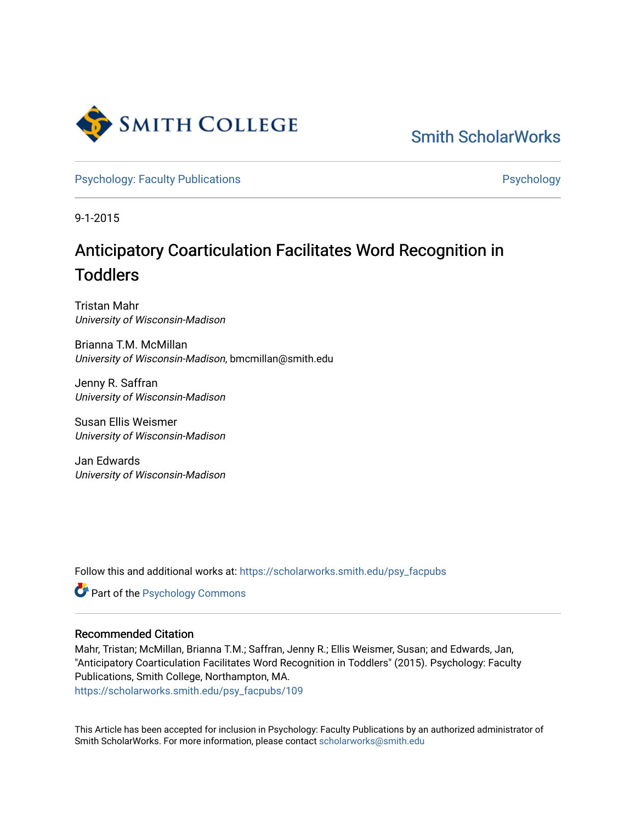

[Smith ScholarWorks](https://scholarworks.smith.edu/) 

[Psychology: Faculty Publications](https://scholarworks.smith.edu/psy_facpubs) **Psychology** Psychology

9-1-2015

# Anticipatory Coarticulation Facilitates Word Recognition in Toddlers

Tristan Mahr University of Wisconsin-Madison

Brianna T.M. McMillan University of Wisconsin-Madison, bmcmillan@smith.edu

Jenny R. Saffran University of Wisconsin-Madison

Susan Ellis Weismer University of Wisconsin-Madison

Jan Edwards University of Wisconsin-Madison

Follow this and additional works at: [https://scholarworks.smith.edu/psy\\_facpubs](https://scholarworks.smith.edu/psy_facpubs?utm_source=scholarworks.smith.edu%2Fpsy_facpubs%2F109&utm_medium=PDF&utm_campaign=PDFCoverPages) 



#### Recommended Citation

Mahr, Tristan; McMillan, Brianna T.M.; Saffran, Jenny R.; Ellis Weismer, Susan; and Edwards, Jan, "Anticipatory Coarticulation Facilitates Word Recognition in Toddlers" (2015). Psychology: Faculty Publications, Smith College, Northampton, MA. [https://scholarworks.smith.edu/psy\\_facpubs/109](https://scholarworks.smith.edu/psy_facpubs/109?utm_source=scholarworks.smith.edu%2Fpsy_facpubs%2F109&utm_medium=PDF&utm_campaign=PDFCoverPages) 

This Article has been accepted for inclusion in Psychology: Faculty Publications by an authorized administrator of Smith ScholarWorks. For more information, please contact [scholarworks@smith.edu](mailto:scholarworks@smith.edu)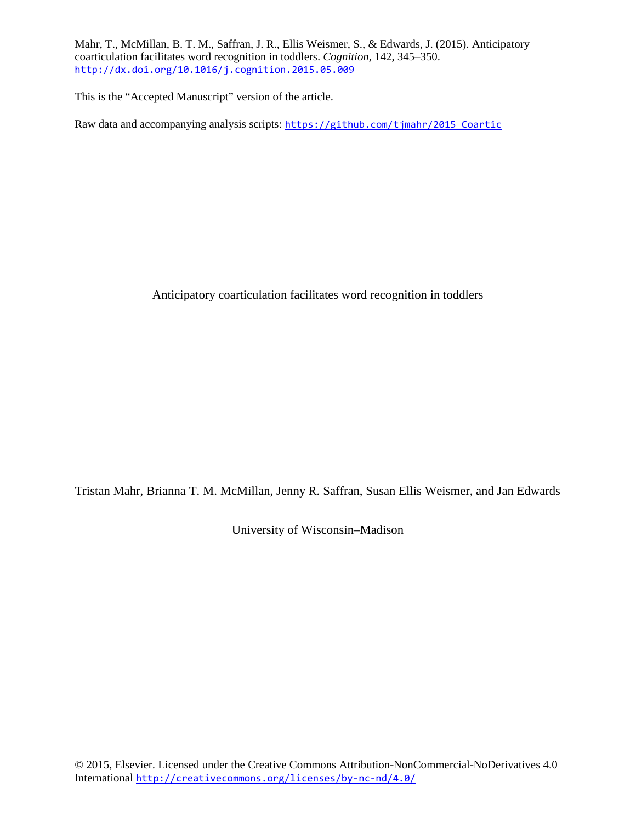Mahr, T., McMillan, B. T. M., Saffran, J. R., Ellis Weismer, S., & Edwards, J. (2015). Anticipatory coarticulation facilitates word recognition in toddlers. *Cognition*, 142, 345–350. <http://dx.doi.org/10.1016/j.cognition.2015.05.009>

This is the "Accepted Manuscript" version of the article.

Raw data and accompanying analysis scripts: [https://github.com/tjmahr/2015\\_Coartic](https://github.com/tjmahr/2015_Coartic)

Anticipatory coarticulation facilitates word recognition in toddlers

Tristan Mahr, Brianna T. M. McMillan, Jenny R. Saffran, Susan Ellis Weismer, and Jan Edwards

University of Wisconsin–Madison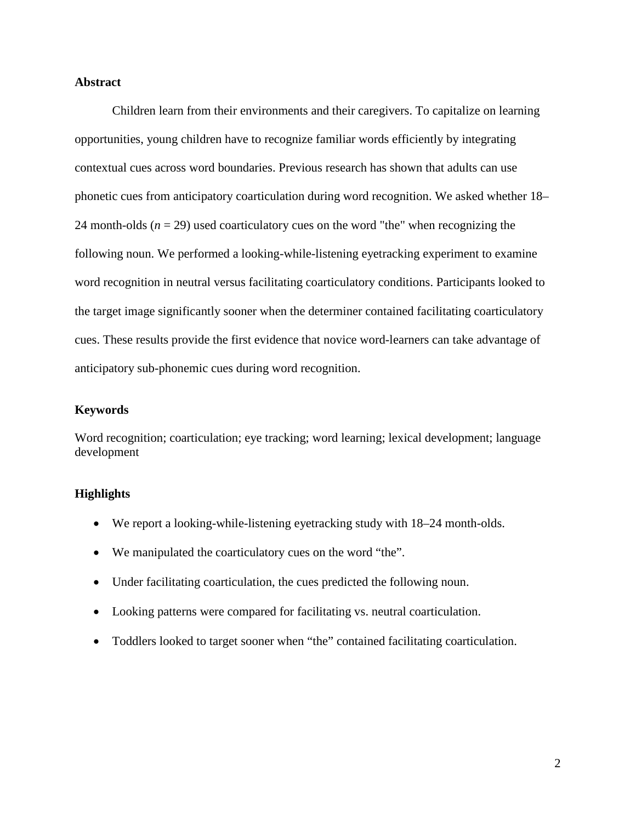## **Abstract**

Children learn from their environments and their caregivers. To capitalize on learning opportunities, young children have to recognize familiar words efficiently by integrating contextual cues across word boundaries. Previous research has shown that adults can use phonetic cues from anticipatory coarticulation during word recognition. We asked whether 18– 24 month-olds  $(n = 29)$  used coarticulatory cues on the word "the" when recognizing the following noun. We performed a looking-while-listening eyetracking experiment to examine word recognition in neutral versus facilitating coarticulatory conditions. Participants looked to the target image significantly sooner when the determiner contained facilitating coarticulatory cues. These results provide the first evidence that novice word-learners can take advantage of anticipatory sub-phonemic cues during word recognition.

#### **Keywords**

Word recognition; coarticulation; eye tracking; word learning; lexical development; language development

#### **Highlights**

- We report a looking-while-listening eyetracking study with 18–24 month-olds.
- We manipulated the coarticulatory cues on the word "the".
- Under facilitating coarticulation, the cues predicted the following noun.
- Looking patterns were compared for facilitating vs. neutral coarticulation.
- Toddlers looked to target sooner when "the" contained facilitating coarticulation.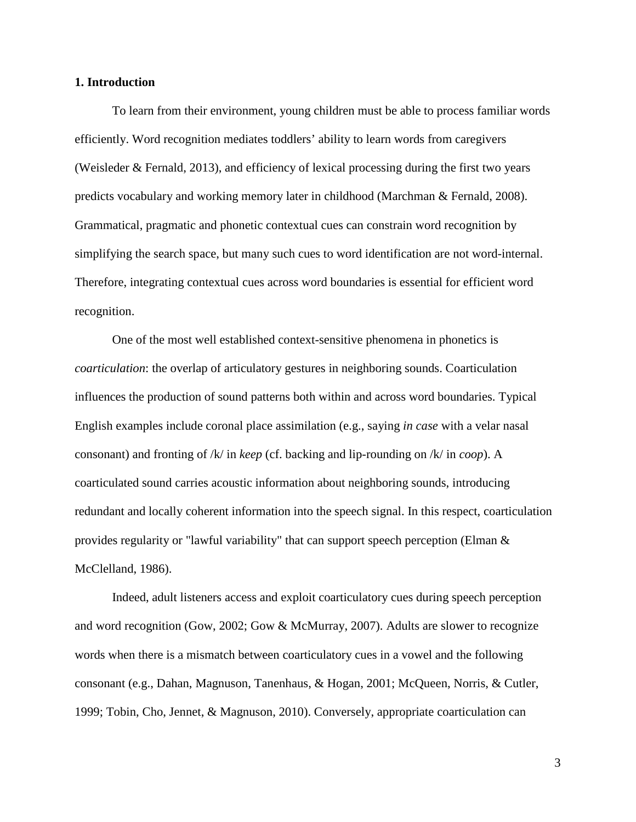#### **1. Introduction**

To learn from their environment, young children must be able to process familiar words efficiently. Word recognition mediates toddlers' ability to learn words from caregivers (Weisleder & Fernald, 2013), and efficiency of lexical processing during the first two years predicts vocabulary and working memory later in childhood (Marchman & Fernald, 2008). Grammatical, pragmatic and phonetic contextual cues can constrain word recognition by simplifying the search space, but many such cues to word identification are not word-internal. Therefore, integrating contextual cues across word boundaries is essential for efficient word recognition.

One of the most well established context-sensitive phenomena in phonetics is *coarticulation*: the overlap of articulatory gestures in neighboring sounds. Coarticulation influences the production of sound patterns both within and across word boundaries. Typical English examples include coronal place assimilation (e.g., saying *in case* with a velar nasal consonant) and fronting of /k/ in *keep* (cf. backing and lip-rounding on /k/ in *coop*). A coarticulated sound carries acoustic information about neighboring sounds, introducing redundant and locally coherent information into the speech signal. In this respect, coarticulation provides regularity or "lawful variability" that can support speech perception (Elman & McClelland, 1986).

Indeed, adult listeners access and exploit coarticulatory cues during speech perception and word recognition (Gow, 2002; Gow & McMurray, 2007). Adults are slower to recognize words when there is a mismatch between coarticulatory cues in a vowel and the following consonant (e.g., Dahan, Magnuson, Tanenhaus, & Hogan, 2001; McQueen, Norris, & Cutler, 1999; Tobin, Cho, Jennet, & Magnuson, 2010). Conversely, appropriate coarticulation can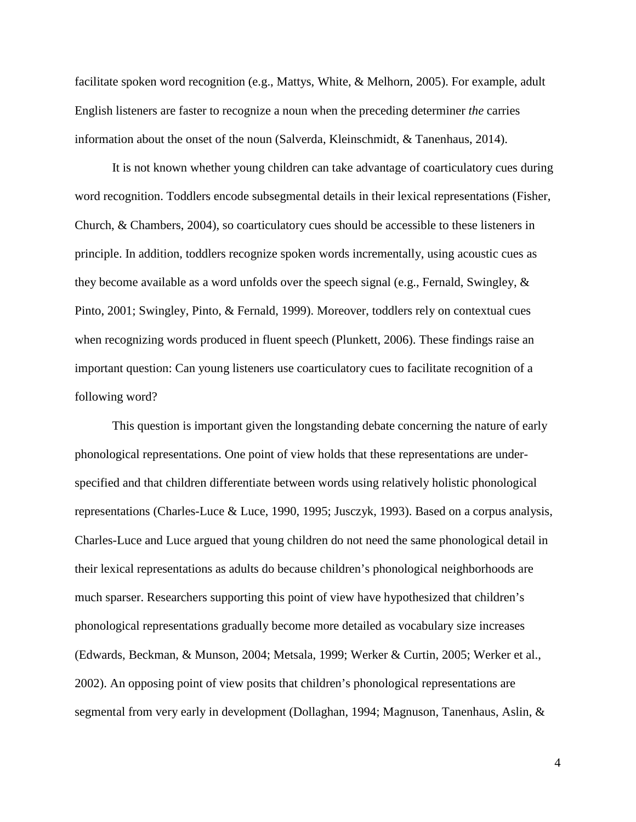facilitate spoken word recognition (e.g., Mattys, White, & Melhorn, 2005). For example, adult English listeners are faster to recognize a noun when the preceding determiner *the* carries information about the onset of the noun (Salverda, Kleinschmidt, & Tanenhaus, 2014).

It is not known whether young children can take advantage of coarticulatory cues during word recognition. Toddlers encode subsegmental details in their lexical representations (Fisher, Church, & Chambers, 2004), so coarticulatory cues should be accessible to these listeners in principle. In addition, toddlers recognize spoken words incrementally, using acoustic cues as they become available as a word unfolds over the speech signal (e.g., Fernald, Swingley, & Pinto, 2001; Swingley, Pinto, & Fernald, 1999). Moreover, toddlers rely on contextual cues when recognizing words produced in fluent speech (Plunkett, 2006). These findings raise an important question: Can young listeners use coarticulatory cues to facilitate recognition of a following word?

This question is important given the longstanding debate concerning the nature of early phonological representations. One point of view holds that these representations are underspecified and that children differentiate between words using relatively holistic phonological representations (Charles-Luce & Luce, 1990, 1995; Jusczyk, 1993). Based on a corpus analysis, Charles-Luce and Luce argued that young children do not need the same phonological detail in their lexical representations as adults do because children's phonological neighborhoods are much sparser. Researchers supporting this point of view have hypothesized that children's phonological representations gradually become more detailed as vocabulary size increases (Edwards, Beckman, & Munson, 2004; Metsala, 1999; Werker & Curtin, 2005; Werker et al., 2002). An opposing point of view posits that children's phonological representations are segmental from very early in development (Dollaghan, 1994; Magnuson, Tanenhaus, Aslin, &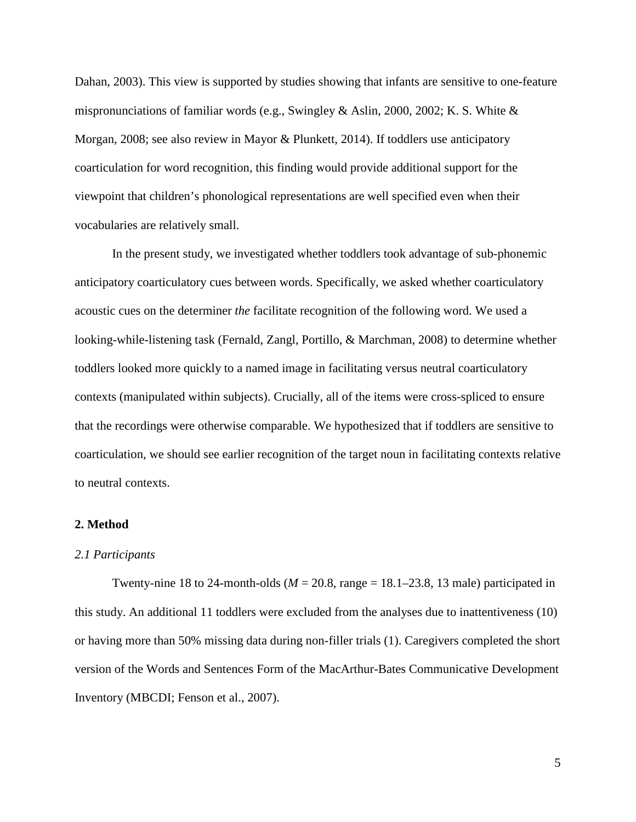Dahan, 2003). This view is supported by studies showing that infants are sensitive to one-feature mispronunciations of familiar words (e.g., Swingley & Aslin, 2000, 2002; K. S. White & Morgan, 2008; see also review in Mayor & Plunkett, 2014). If toddlers use anticipatory coarticulation for word recognition, this finding would provide additional support for the viewpoint that children's phonological representations are well specified even when their vocabularies are relatively small.

In the present study, we investigated whether toddlers took advantage of sub-phonemic anticipatory coarticulatory cues between words. Specifically, we asked whether coarticulatory acoustic cues on the determiner *the* facilitate recognition of the following word. We used a looking-while-listening task (Fernald, Zangl, Portillo, & Marchman, 2008) to determine whether toddlers looked more quickly to a named image in facilitating versus neutral coarticulatory contexts (manipulated within subjects). Crucially, all of the items were cross-spliced to ensure that the recordings were otherwise comparable. We hypothesized that if toddlers are sensitive to coarticulation, we should see earlier recognition of the target noun in facilitating contexts relative to neutral contexts.

## **2. Method**

#### *2.1 Participants*

Twenty-nine 18 to 24-month-olds ( $M = 20.8$ , range  $= 18.1 - 23.8$ , 13 male) participated in this study. An additional 11 toddlers were excluded from the analyses due to inattentiveness (10) or having more than 50% missing data during non-filler trials (1). Caregivers completed the short version of the Words and Sentences Form of the MacArthur-Bates Communicative Development Inventory (MBCDI; Fenson et al., 2007).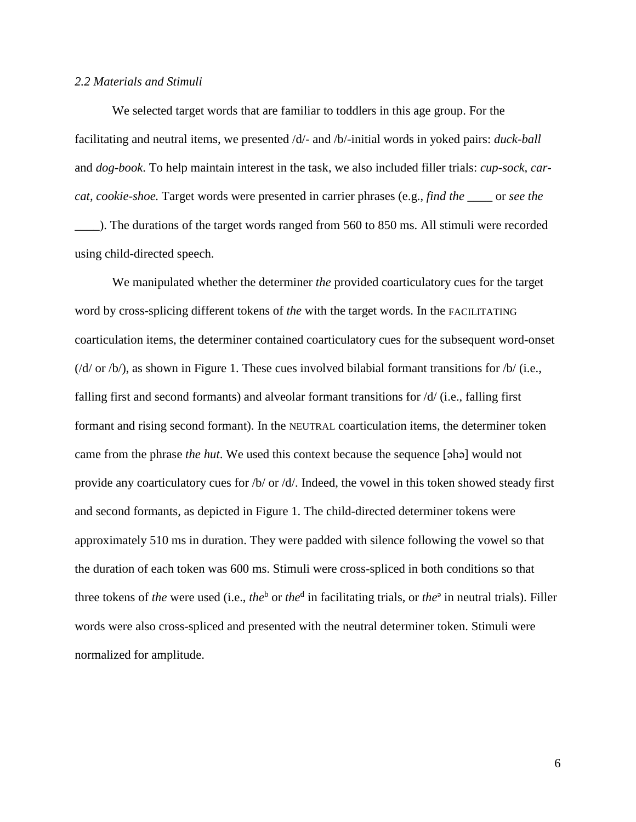#### *2.2 Materials and Stimuli*

We selected target words that are familiar to toddlers in this age group. For the facilitating and neutral items, we presented /d/- and /b/-initial words in yoked pairs: *duck-ball* and *dog-book*. To help maintain interest in the task, we also included filler trials: *cup-sock, carcat, cookie-shoe.* Target words were presented in carrier phrases (e.g., *find the \_\_\_\_* or *see the \_\_\_\_*). The durations of the target words ranged from 560 to 850 ms. All stimuli were recorded using child-directed speech.

We manipulated whether the determiner *the* provided coarticulatory cues for the target word by cross-splicing different tokens of *the* with the target words. In the FACILITATING coarticulation items, the determiner contained coarticulatory cues for the subsequent word-onset  $(d/d \sigma / b)$ , as shown in Figure 1. These cues involved bilabial formant transitions for  $/b/(i.e.,$ falling first and second formants) and alveolar formant transitions for /d/ (i.e., falling first formant and rising second formant). In the NEUTRAL coarticulation items, the determiner token came from the phrase *the hut*. We used this context because the sequence [ǝhǝ] would not provide any coarticulatory cues for /b/ or /d/. Indeed, the vowel in this token showed steady first and second formants, as depicted in Figure 1. The child-directed determiner tokens were approximately 510 ms in duration. They were padded with silence following the vowel so that the duration of each token was 600 ms. Stimuli were cross-spliced in both conditions so that three tokens of *the* were used (i.e., *the*<sup>b</sup> or *the*<sup>d</sup> in facilitating trials, or *the*<sup>a</sup> in neutral trials). Filler words were also cross-spliced and presented with the neutral determiner token. Stimuli were normalized for amplitude.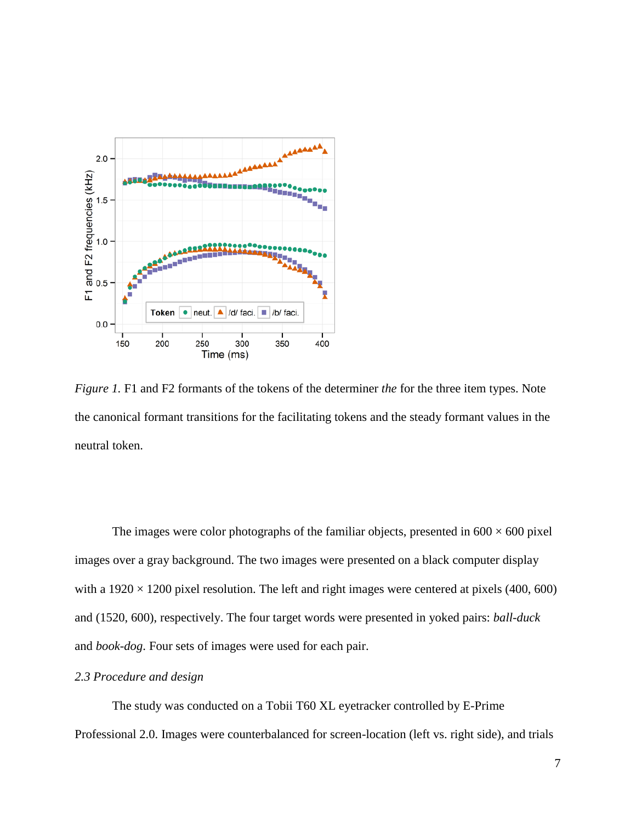

*Figure 1.* F1 and F2 formants of the tokens of the determiner *the* for the three item types. Note the canonical formant transitions for the facilitating tokens and the steady formant values in the neutral token.

The images were color photographs of the familiar objects, presented in  $600 \times 600$  pixel images over a gray background. The two images were presented on a black computer display with a  $1920 \times 1200$  pixel resolution. The left and right images were centered at pixels (400, 600) and (1520, 600), respectively. The four target words were presented in yoked pairs: *ball-duck* and *book-dog*. Four sets of images were used for each pair.

#### *2.3 Procedure and design*

The study was conducted on a Tobii T60 XL eyetracker controlled by E-Prime Professional 2.0. Images were counterbalanced for screen-location (left vs. right side), and trials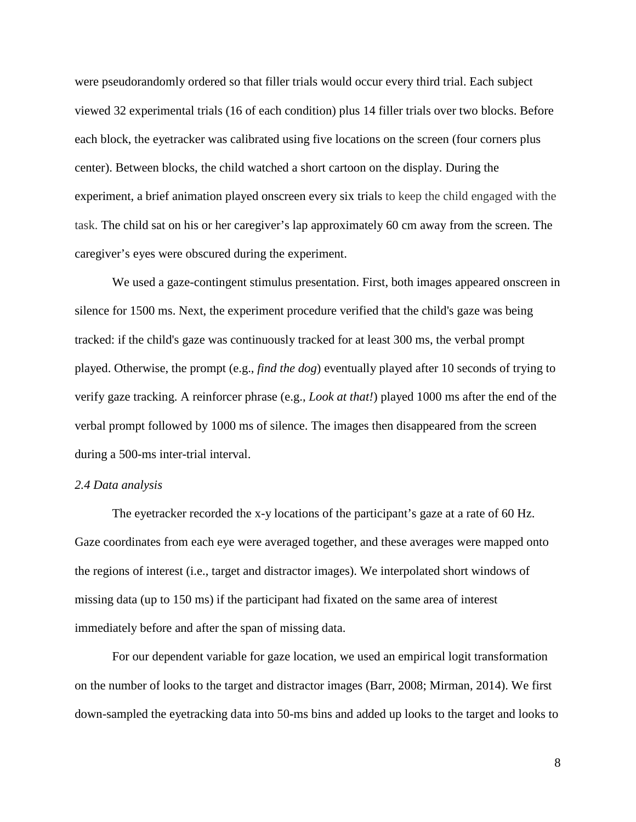were pseudorandomly ordered so that filler trials would occur every third trial. Each subject viewed 32 experimental trials (16 of each condition) plus 14 filler trials over two blocks. Before each block, the eyetracker was calibrated using five locations on the screen (four corners plus center). Between blocks, the child watched a short cartoon on the display. During the experiment, a brief animation played onscreen every six trials to keep the child engaged with the task. The child sat on his or her caregiver's lap approximately 60 cm away from the screen. The caregiver's eyes were obscured during the experiment.

We used a gaze-contingent stimulus presentation. First, both images appeared onscreen in silence for 1500 ms. Next, the experiment procedure verified that the child's gaze was being tracked: if the child's gaze was continuously tracked for at least 300 ms, the verbal prompt played. Otherwise, the prompt (e.g., *find the dog*) eventually played after 10 seconds of trying to verify gaze tracking. A reinforcer phrase (e.g., *Look at that!*) played 1000 ms after the end of the verbal prompt followed by 1000 ms of silence. The images then disappeared from the screen during a 500-ms inter-trial interval.

#### *2.4 Data analysis*

The eyetracker recorded the x-y locations of the participant's gaze at a rate of 60 Hz. Gaze coordinates from each eye were averaged together, and these averages were mapped onto the regions of interest (i.e., target and distractor images). We interpolated short windows of missing data (up to 150 ms) if the participant had fixated on the same area of interest immediately before and after the span of missing data.

For our dependent variable for gaze location, we used an empirical logit transformation on the number of looks to the target and distractor images (Barr, 2008; Mirman, 2014). We first down-sampled the eyetracking data into 50-ms bins and added up looks to the target and looks to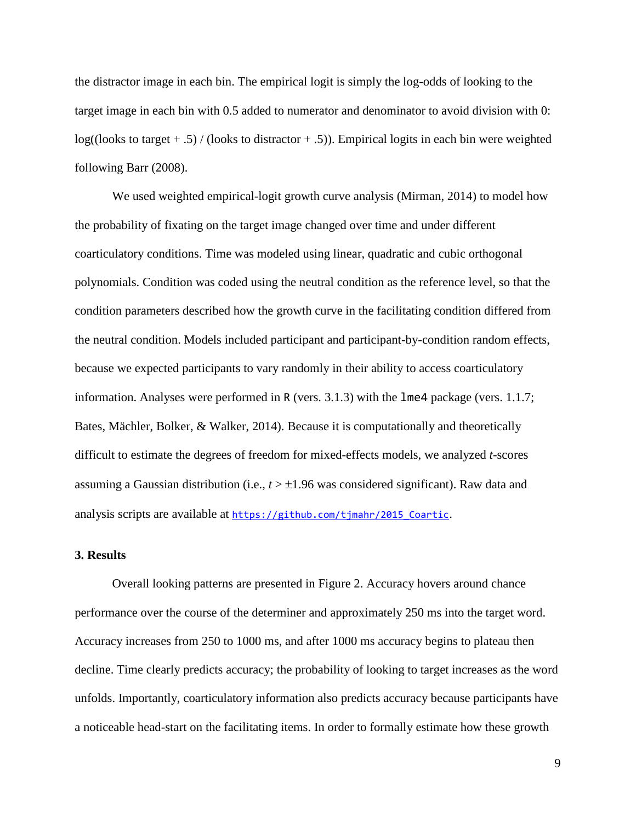the distractor image in each bin. The empirical logit is simply the log-odds of looking to the target image in each bin with 0.5 added to numerator and denominator to avoid division with 0:  $log(($ looks to target  $+ .5)$  / (looks to distractor  $+ .5$ )). Empirical logits in each bin were weighted following Barr (2008).

We used weighted empirical-logit growth curve analysis (Mirman, 2014) to model how the probability of fixating on the target image changed over time and under different coarticulatory conditions. Time was modeled using linear, quadratic and cubic orthogonal polynomials. Condition was coded using the neutral condition as the reference level, so that the condition parameters described how the growth curve in the facilitating condition differed from the neutral condition. Models included participant and participant-by-condition random effects, because we expected participants to vary randomly in their ability to access coarticulatory information. Analyses were performed in R (vers. 3.1.3) with the lme4 package (vers. 1.1.7; Bates, Mächler, Bolker, & Walker, 2014). Because it is computationally and theoretically difficult to estimate the degrees of freedom for mixed-effects models, we analyzed *t*-scores assuming a Gaussian distribution (i.e., *t* > ±1.96 was considered significant). Raw data and analysis scripts are available at [https://github.com/tjmahr/2015\\_Coartic](https://github.com/tjmahr/2015_Coartic).

# **3. Results**

Overall looking patterns are presented in Figure 2. Accuracy hovers around chance performance over the course of the determiner and approximately 250 ms into the target word. Accuracy increases from 250 to 1000 ms, and after 1000 ms accuracy begins to plateau then decline. Time clearly predicts accuracy; the probability of looking to target increases as the word unfolds. Importantly, coarticulatory information also predicts accuracy because participants have a noticeable head-start on the facilitating items. In order to formally estimate how these growth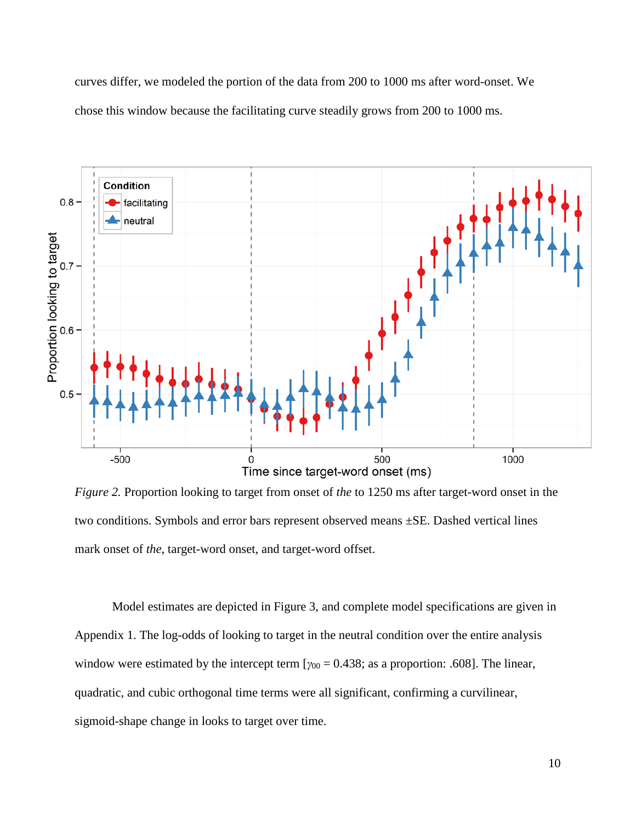curves differ, we modeled the portion of the data from 200 to 1000 ms after word-onset. We chose this window because the facilitating curve steadily grows from 200 to 1000 ms.



*Figure 2.* Proportion looking to target from onset of *the* to 1250 ms after target-word onset in the two conditions. Symbols and error bars represent observed means ±SE. Dashed vertical lines mark onset of *the*, target-word onset, and target-word offset.

Model estimates are depicted in Figure 3, and complete model specifications are given in Appendix 1. The log-odds of looking to target in the neutral condition over the entire analysis window were estimated by the intercept term  $[\gamma_{00} = 0.438;$  as a proportion: .608]. The linear, quadratic, and cubic orthogonal time terms were all significant, confirming a curvilinear, sigmoid-shape change in looks to target over time.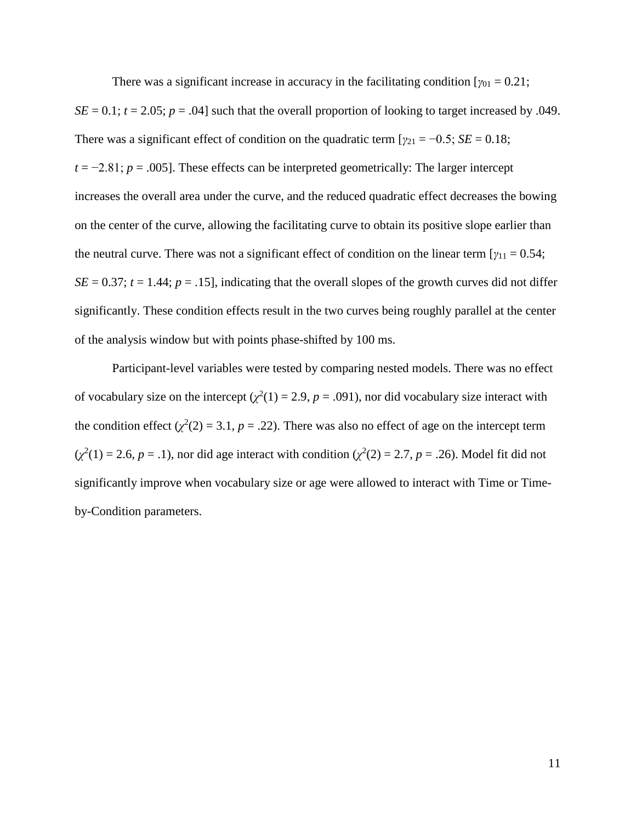There was a significant increase in accuracy in the facilitating condition  $[\gamma_{01} = 0.21]$ ;  $SE = 0.1$ ;  $t = 2.05$ ;  $p = .04$ ] such that the overall proportion of looking to target increased by .049. There was a significant effect of condition on the quadratic term  $[\gamma_{21} = -0.5; SE = 0.18;$  $t = -2.81$ ;  $p = .005$ ]. These effects can be interpreted geometrically: The larger intercept increases the overall area under the curve, and the reduced quadratic effect decreases the bowing on the center of the curve, allowing the facilitating curve to obtain its positive slope earlier than the neutral curve. There was not a significant effect of condition on the linear term  $[\gamma_{11} = 0.54;$  $SE = 0.37$ ;  $t = 1.44$ ;  $p = .15$ ], indicating that the overall slopes of the growth curves did not differ significantly. These condition effects result in the two curves being roughly parallel at the center of the analysis window but with points phase-shifted by 100 ms.

Participant-level variables were tested by comparing nested models. There was no effect of vocabulary size on the intercept  $(\chi^2(1) = 2.9, p = .091)$ , nor did vocabulary size interact with the condition effect  $(\chi^2(2) = 3.1, p = .22)$ . There was also no effect of age on the intercept term  $(\chi^2(1) = 2.6, p = .1)$ , nor did age interact with condition  $(\chi^2(2) = 2.7, p = .26)$ . Model fit did not significantly improve when vocabulary size or age were allowed to interact with Time or Timeby-Condition parameters.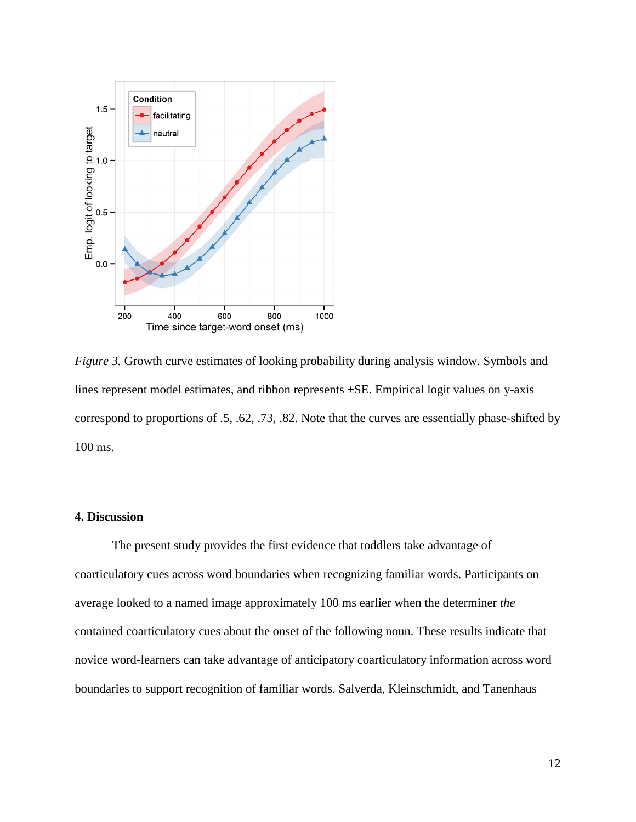

*Figure 3.* Growth curve estimates of looking probability during analysis window. Symbols and lines represent model estimates, and ribbon represents ±SE. Empirical logit values on y-axis correspond to proportions of .5, .62, .73, .82. Note that the curves are essentially phase-shifted by 100 ms.

## **4. Discussion**

The present study provides the first evidence that toddlers take advantage of coarticulatory cues across word boundaries when recognizing familiar words. Participants on average looked to a named image approximately 100 ms earlier when the determiner *the* contained coarticulatory cues about the onset of the following noun. These results indicate that novice word-learners can take advantage of anticipatory coarticulatory information across word boundaries to support recognition of familiar words. Salverda, Kleinschmidt, and Tanenhaus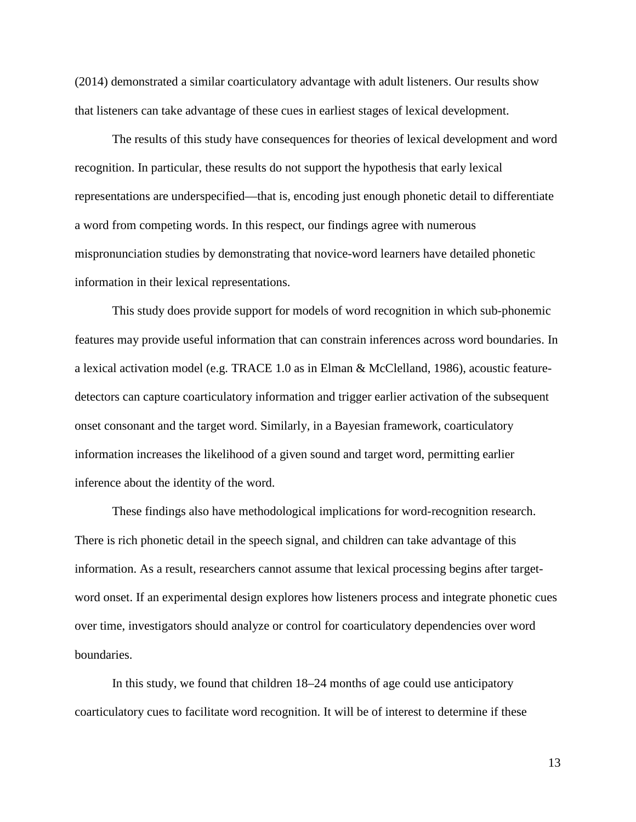(2014) demonstrated a similar coarticulatory advantage with adult listeners. Our results show that listeners can take advantage of these cues in earliest stages of lexical development.

The results of this study have consequences for theories of lexical development and word recognition. In particular, these results do not support the hypothesis that early lexical representations are underspecified—that is, encoding just enough phonetic detail to differentiate a word from competing words. In this respect, our findings agree with numerous mispronunciation studies by demonstrating that novice-word learners have detailed phonetic information in their lexical representations.

This study does provide support for models of word recognition in which sub-phonemic features may provide useful information that can constrain inferences across word boundaries. In a lexical activation model (e.g. TRACE 1.0 as in Elman & McClelland, 1986), acoustic featuredetectors can capture coarticulatory information and trigger earlier activation of the subsequent onset consonant and the target word. Similarly, in a Bayesian framework, coarticulatory information increases the likelihood of a given sound and target word, permitting earlier inference about the identity of the word.

These findings also have methodological implications for word-recognition research. There is rich phonetic detail in the speech signal, and children can take advantage of this information. As a result, researchers cannot assume that lexical processing begins after targetword onset. If an experimental design explores how listeners process and integrate phonetic cues over time, investigators should analyze or control for coarticulatory dependencies over word boundaries.

In this study, we found that children 18–24 months of age could use anticipatory coarticulatory cues to facilitate word recognition. It will be of interest to determine if these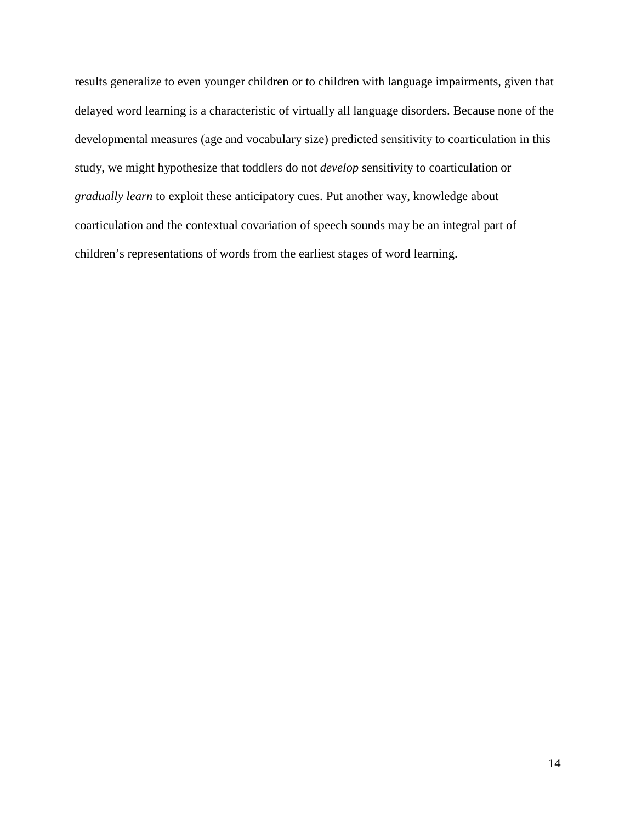results generalize to even younger children or to children with language impairments, given that delayed word learning is a characteristic of virtually all language disorders. Because none of the developmental measures (age and vocabulary size) predicted sensitivity to coarticulation in this study, we might hypothesize that toddlers do not *develop* sensitivity to coarticulation or *gradually learn* to exploit these anticipatory cues. Put another way, knowledge about coarticulation and the contextual covariation of speech sounds may be an integral part of children's representations of words from the earliest stages of word learning.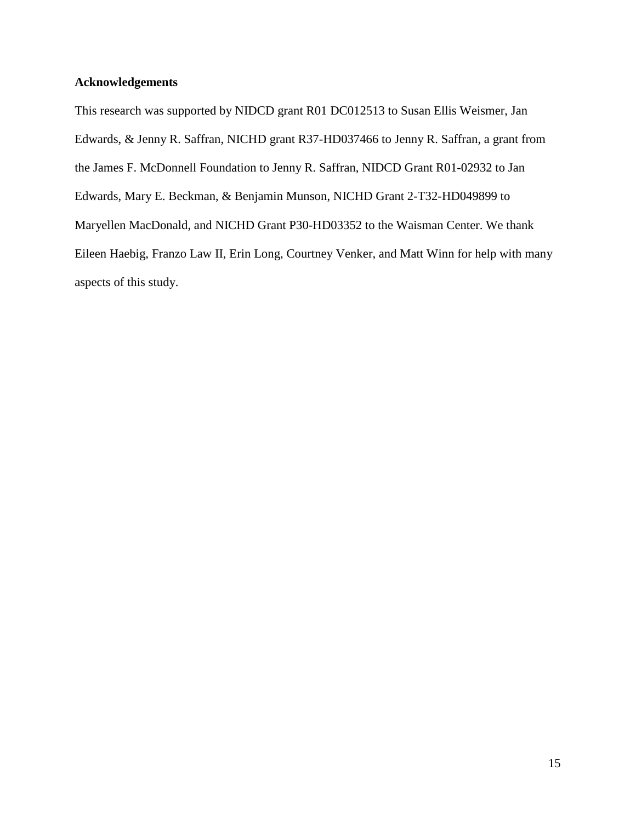# **Acknowledgements**

This research was supported by NIDCD grant R01 DC012513 to Susan Ellis Weismer, Jan Edwards, & Jenny R. Saffran, NICHD grant R37-HD037466 to Jenny R. Saffran, a grant from the James F. McDonnell Foundation to Jenny R. Saffran, NIDCD Grant R01-02932 to Jan Edwards, Mary E. Beckman, & Benjamin Munson, NICHD Grant 2-T32-HD049899 to Maryellen MacDonald, and NICHD Grant P30-HD03352 to the Waisman Center. We thank Eileen Haebig, Franzo Law II, Erin Long, Courtney Venker, and Matt Winn for help with many aspects of this study.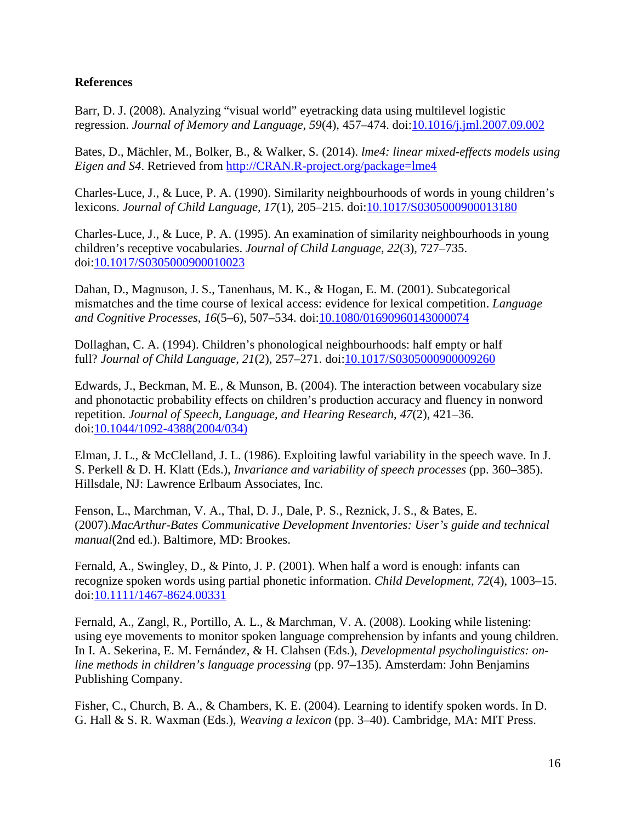# **References**

Barr, D. J. (2008). Analyzing "visual world" eyetracking data using multilevel logistic regression. *Journal of Memory and Language*, *59*(4), 457–474. doi[:10.1016/j.jml.2007.09.002](http://dx.doi.org/10.1016/j.jml.2007.09.002)

Bates, D., Mächler, M., Bolker, B., & Walker, S. (2014). *lme4: linear mixed-effects models using Eigen and S4*. Retrieved from [http://CRAN.R-project.org/package=lme4](http://cran.r-project.org/package=lme4)

Charles-Luce, J., & Luce, P. A. (1990). Similarity neighbourhoods of words in young children's lexicons. *Journal of Child Language*, *17*(1), 205–215. doi[:10.1017/S0305000900013180](http://dx.doi.org/10.1017/S0305000900013180)

Charles-Luce, J., & Luce, P. A. (1995). An examination of similarity neighbourhoods in young children's receptive vocabularies. *Journal of Child Language*, *22*(3), 727–735. doi[:10.1017/S0305000900010023](http://dx.doi.org/10.1017/S0305000900010023)

Dahan, D., Magnuson, J. S., Tanenhaus, M. K., & Hogan, E. M. (2001). Subcategorical mismatches and the time course of lexical access: evidence for lexical competition. *Language and Cognitive Processes*, *16*(5–6), 507–534. doi[:10.1080/01690960143000074](http://dx.doi.org/10.1080/01690960143000074)

Dollaghan, C. A. (1994). Children's phonological neighbourhoods: half empty or half full? *Journal of Child Language*, *21*(2), 257–271. doi[:10.1017/S0305000900009260](http://dx.doi.org/10.1017/S0305000900009260)

Edwards, J., Beckman, M. E., & Munson, B. (2004). The interaction between vocabulary size and phonotactic probability effects on children's production accuracy and fluency in nonword repetition. *Journal of Speech, Language, and Hearing Research*, *47*(2), 421–36. doi[:10.1044/1092-4388\(2004/034\)](http://dx.doi.org/10.1044/1092-4388(2004/034))

Elman, J. L., & McClelland, J. L. (1986). Exploiting lawful variability in the speech wave. In J. S. Perkell & D. H. Klatt (Eds.), *Invariance and variability of speech processes* (pp. 360–385). Hillsdale, NJ: Lawrence Erlbaum Associates, Inc.

Fenson, L., Marchman, V. A., Thal, D. J., Dale, P. S., Reznick, J. S., & Bates, E. (2007).*MacArthur-Bates Communicative Development Inventories: User's guide and technical manual*(2nd ed.). Baltimore, MD: Brookes.

Fernald, A., Swingley, D., & Pinto, J. P. (2001). When half a word is enough: infants can recognize spoken words using partial phonetic information. *Child Development*, *72*(4), 1003–15. doi[:10.1111/1467-8624.00331](http://dx.doi.org/10.1111/1467-8624.00331)

Fernald, A., Zangl, R., Portillo, A. L., & Marchman, V. A. (2008). Looking while listening: using eye movements to monitor spoken language comprehension by infants and young children. In I. A. Sekerina, E. M. Fernández, & H. Clahsen (Eds.), *Developmental psycholinguistics: online methods in children's language processing* (pp. 97–135). Amsterdam: John Benjamins Publishing Company.

Fisher, C., Church, B. A., & Chambers, K. E. (2004). Learning to identify spoken words. In D. G. Hall & S. R. Waxman (Eds.), *Weaving a lexicon* (pp. 3–40). Cambridge, MA: MIT Press.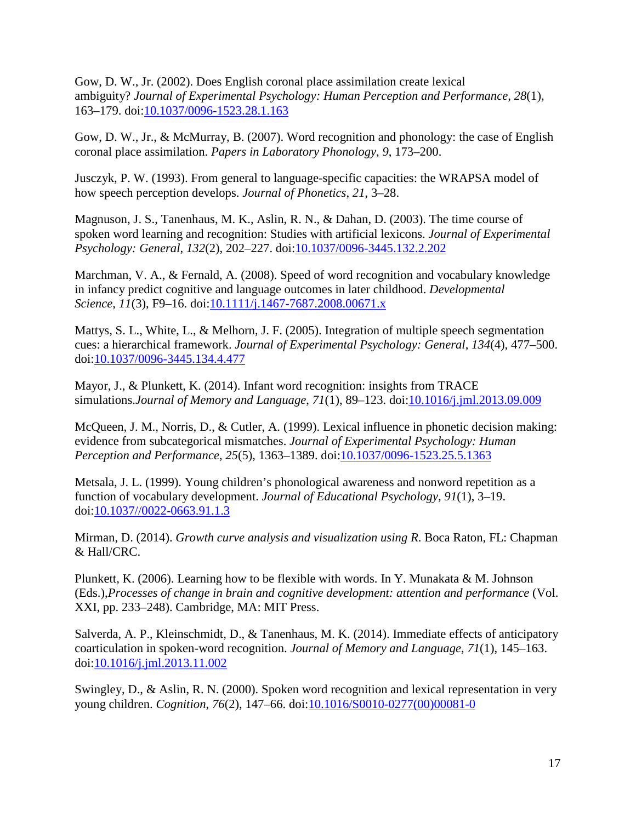Gow, D. W., Jr. (2002). Does English coronal place assimilation create lexical ambiguity? *Journal of Experimental Psychology: Human Perception and Performance*, *28*(1), 163–179. doi[:10.1037/0096-1523.28.1.163](http://dx.doi.org/10.1037/0096-1523.28.1.163)

Gow, D. W., Jr., & McMurray, B. (2007). Word recognition and phonology: the case of English coronal place assimilation. *Papers in Laboratory Phonology*, *9*, 173–200.

Jusczyk, P. W. (1993). From general to language-specific capacities: the WRAPSA model of how speech perception develops. *Journal of Phonetics*, *21*, 3–28.

Magnuson, J. S., Tanenhaus, M. K., Aslin, R. N., & Dahan, D. (2003). The time course of spoken word learning and recognition: Studies with artificial lexicons. *Journal of Experimental Psychology: General*, *132*(2), 202–227. doi[:10.1037/0096-3445.132.2.202](http://dx.doi.org/10.1037/0096-3445.132.2.202)

Marchman, V. A., & Fernald, A. (2008). Speed of word recognition and vocabulary knowledge in infancy predict cognitive and language outcomes in later childhood. *Developmental Science*, *11*(3), F9–16. doi[:10.1111/j.1467-7687.2008.00671.x](http://dx.doi.org/10.1111/j.1467-7687.2008.00671.x)

Mattys, S. L., White, L., & Melhorn, J. F. (2005). Integration of multiple speech segmentation cues: a hierarchical framework. *Journal of Experimental Psychology: General*, *134*(4), 477–500. doi[:10.1037/0096-3445.134.4.477](http://dx.doi.org/10.1037/0096-3445.134.4.477)

Mayor, J., & Plunkett, K. (2014). Infant word recognition: insights from TRACE simulations.*Journal of Memory and Language*, *71*(1), 89–123. doi[:10.1016/j.jml.2013.09.009](http://dx.doi.org/10.1016/j.jml.2013.09.009)

McQueen, J. M., Norris, D., & Cutler, A. (1999). Lexical influence in phonetic decision making: evidence from subcategorical mismatches. *Journal of Experimental Psychology: Human Perception and Performance*, *25*(5), 1363–1389. doi[:10.1037/0096-1523.25.5.1363](http://dx.doi.org/10.1037/0096-1523.25.5.1363)

Metsala, J. L. (1999). Young children's phonological awareness and nonword repetition as a function of vocabulary development. *Journal of Educational Psychology*, *91*(1), 3–19. doi[:10.1037//0022-0663.91.1.3](http://dx.doi.org/10.1037/0022-0663.91.1.3)

Mirman, D. (2014). *Growth curve analysis and visualization using R*. Boca Raton, FL: Chapman & Hall/CRC.

Plunkett, K. (2006). Learning how to be flexible with words. In Y. Munakata & M. Johnson (Eds.),*Processes of change in brain and cognitive development: attention and performance* (Vol. XXI, pp. 233–248). Cambridge, MA: MIT Press.

Salverda, A. P., Kleinschmidt, D., & Tanenhaus, M. K. (2014). Immediate effects of anticipatory coarticulation in spoken-word recognition. *Journal of Memory and Language*, *71*(1), 145–163. doi[:10.1016/j.jml.2013.11.002](http://dx.doi.org/10.1016/j.jml.2013.11.002)

Swingley, D., & Aslin, R. N. (2000). Spoken word recognition and lexical representation in very young children. *Cognition*, *76*(2), 147–66. doi[:10.1016/S0010-0277\(00\)00081-0](http://dx.doi.org/10.1016/S0010-0277(00)00081-0)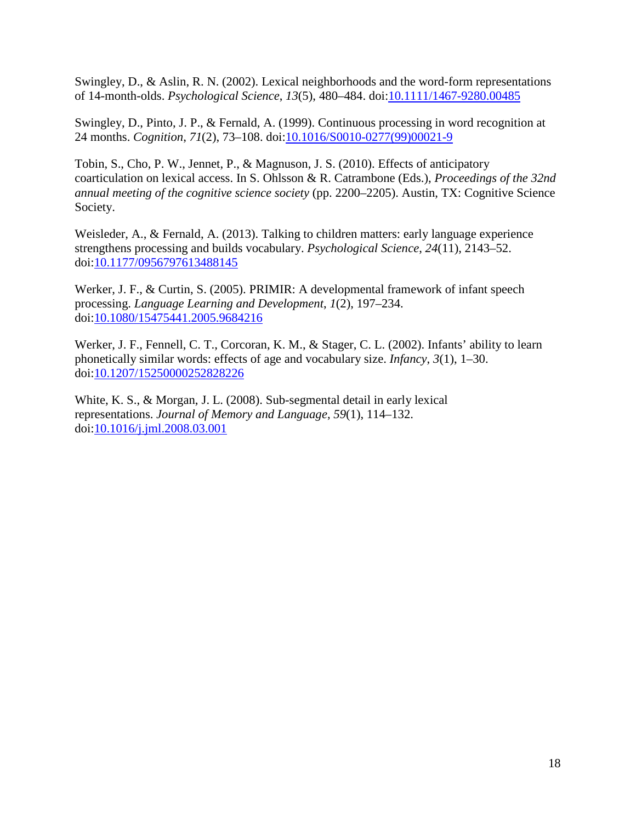Swingley, D., & Aslin, R. N. (2002). Lexical neighborhoods and the word-form representations of 14-month-olds. *Psychological Science*, *13*(5), 480–484. doi[:10.1111/1467-9280.00485](http://dx.doi.org/10.1111/1467-9280.00485)

Swingley, D., Pinto, J. P., & Fernald, A. (1999). Continuous processing in word recognition at 24 months. *Cognition*, *71*(2), 73–108. doi[:10.1016/S0010-0277\(99\)00021-9](http://dx.doi.org/10.1016/S0010-0277(99)00021-9)

Tobin, S., Cho, P. W., Jennet, P., & Magnuson, J. S. (2010). Effects of anticipatory coarticulation on lexical access. In S. Ohlsson & R. Catrambone (Eds.), *Proceedings of the 32nd annual meeting of the cognitive science society* (pp. 2200–2205). Austin, TX: Cognitive Science Society.

Weisleder, A., & Fernald, A. (2013). Talking to children matters: early language experience strengthens processing and builds vocabulary. *Psychological Science*, *24*(11), 2143–52. doi[:10.1177/0956797613488145](http://dx.doi.org/10.1177/0956797613488145)

Werker, J. F., & Curtin, S. (2005). PRIMIR: A developmental framework of infant speech processing. *Language Learning and Development*, *1*(2), 197–234. doi[:10.1080/15475441.2005.9684216](http://dx.doi.org/10.1080/15475441.2005.9684216)

Werker, J. F., Fennell, C. T., Corcoran, K. M., & Stager, C. L. (2002). Infants' ability to learn phonetically similar words: effects of age and vocabulary size. *Infancy*, *3*(1), 1–30. doi[:10.1207/15250000252828226](http://dx.doi.org/10.1207/15250000252828226)

White, K. S., & Morgan, J. L. (2008). Sub-segmental detail in early lexical representations. *Journal of Memory and Language*, *59*(1), 114–132. doi[:10.1016/j.jml.2008.03.001](http://dx.doi.org/10.1016/j.jml.2008.03.001)